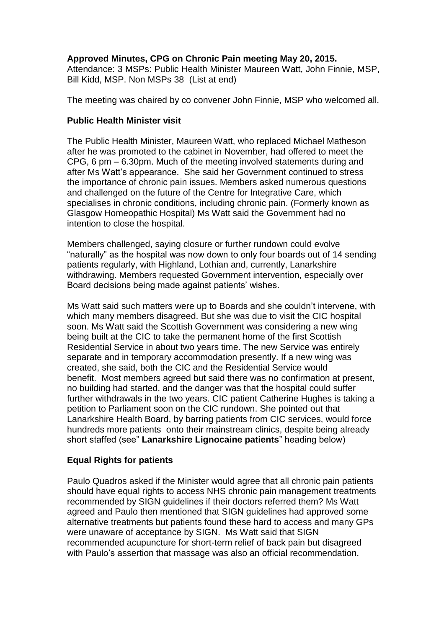# **Approved Minutes, CPG on Chronic Pain meeting May 20, 2015.**

Attendance: 3 MSPs: Public Health Minister Maureen Watt, John Finnie, MSP, Bill Kidd, MSP. Non MSPs 38 (List at end)

The meeting was chaired by co convener John Finnie, MSP who welcomed all.

## **Public Health Minister visit**

The Public Health Minister, Maureen Watt, who replaced Michael Matheson after he was promoted to the cabinet in November, had offered to meet the CPG, 6 pm – 6.30pm. Much of the meeting involved statements during and after Ms Watt's appearance. She said her Government continued to stress the importance of chronic pain issues. Members asked numerous questions and challenged on the future of the Centre for Integrative Care, which specialises in chronic conditions, including chronic pain. (Formerly known as Glasgow Homeopathic Hospital) Ms Watt said the Government had no intention to close the hospital.

Members challenged, saying closure or further rundown could evolve "naturally" as the hospital was now down to only four boards out of 14 sending patients regularly, with Highland, Lothian and, currently, Lanarkshire withdrawing. Members requested Government intervention, especially over Board decisions being made against patients' wishes.

Ms Watt said such matters were up to Boards and she couldn't intervene, with which many members disagreed. But she was due to visit the CIC hospital soon. Ms Watt said the Scottish Government was considering a new wing being built at the CIC to take the permanent home of the first Scottish Residential Service in about two years time. The new Service was entirely separate and in temporary accommodation presently. If a new wing was created, she said, both the CIC and the Residential Service would benefit. Most members agreed but said there was no confirmation at present, no building had started, and the danger was that the hospital could suffer further withdrawals in the two years. CIC patient Catherine Hughes is taking a petition to Parliament soon on the CIC rundown. She pointed out that Lanarkshire Health Board, by barring patients from CIC services, would force hundreds more patients onto their mainstream clinics, despite being already short staffed (see" **Lanarkshire Lignocaine patients**" heading below)

## **Equal Rights for patients**

Paulo Quadros asked if the Minister would agree that all chronic pain patients should have equal rights to access NHS chronic pain management treatments recommended by SIGN guidelines if their doctors referred them? Ms Watt agreed and Paulo then mentioned that SIGN guidelines had approved some alternative treatments but patients found these hard to access and many GPs were unaware of acceptance by SIGN. Ms Watt said that SIGN recommended acupuncture for short-term relief of back pain but disagreed with Paulo's assertion that massage was also an official recommendation.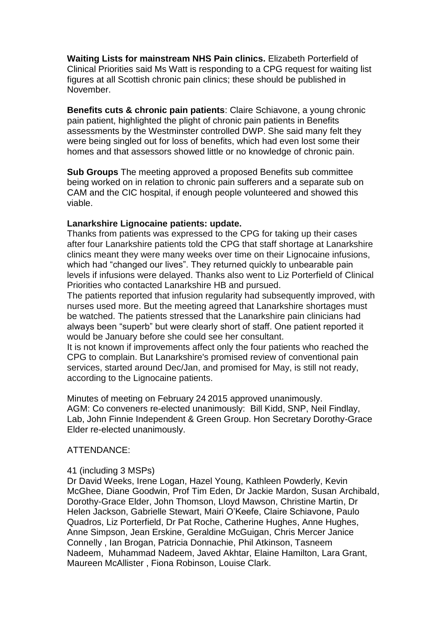**Waiting Lists for mainstream NHS Pain clinics.** Elizabeth Porterfield of Clinical Priorities said Ms Watt is responding to a CPG request for waiting list figures at all Scottish chronic pain clinics; these should be published in November.

**Benefits cuts & chronic pain patients**: Claire Schiavone, a young chronic pain patient, highlighted the plight of chronic pain patients in Benefits assessments by the Westminster controlled DWP. She said many felt they were being singled out for loss of benefits, which had even lost some their homes and that assessors showed little or no knowledge of chronic pain.

**Sub Groups** The meeting approved a proposed Benefits sub committee being worked on in relation to chronic pain sufferers and a separate sub on CAM and the CIC hospital, if enough people volunteered and showed this viable.

### **Lanarkshire Lignocaine patients: update.**

Thanks from patients was expressed to the CPG for taking up their cases after four Lanarkshire patients told the CPG that staff shortage at Lanarkshire clinics meant they were many weeks over time on their Lignocaine infusions, which had "changed our lives". They returned quickly to unbearable pain levels if infusions were delayed. Thanks also went to Liz Porterfield of Clinical Priorities who contacted Lanarkshire HB and pursued.

The patients reported that infusion regularity had subsequently improved, with nurses used more. But the meeting agreed that Lanarkshire shortages must be watched. The patients stressed that the Lanarkshire pain clinicians had always been "superb" but were clearly short of staff. One patient reported it would be January before she could see her consultant.

It is not known if improvements affect only the four patients who reached the CPG to complain. But Lanarkshire's promised review of conventional pain services, started around Dec/Jan, and promised for May, is still not ready, according to the Lignocaine patients.

Minutes of meeting on February 24 2015 approved unanimously. AGM: Co conveners re-elected unanimously: Bill Kidd, SNP, Neil Findlay, Lab, John Finnie Independent & Green Group. Hon Secretary Dorothy-Grace Elder re-elected unanimously.

### ATTENDANCE:

### 41 (including 3 MSPs)

Dr David Weeks, Irene Logan, Hazel Young, Kathleen Powderly, Kevin McGhee, Diane Goodwin, Prof Tim Eden, Dr Jackie Mardon, Susan Archibald, Dorothy-Grace Elder, John Thomson, Lloyd Mawson, Christine Martin, Dr Helen Jackson, Gabrielle Stewart, Mairi O'Keefe, Claire Schiavone, Paulo Quadros, Liz Porterfield, Dr Pat Roche, Catherine Hughes, Anne Hughes, Anne Simpson, Jean Erskine, Geraldine McGuigan, Chris Mercer Janice Connelly , Ian Brogan, Patricia Donnachie, Phil Atkinson, Tasneem Nadeem, Muhammad Nadeem, Javed Akhtar, Elaine Hamilton, Lara Grant, Maureen McAllister , Fiona Robinson, Louise Clark.